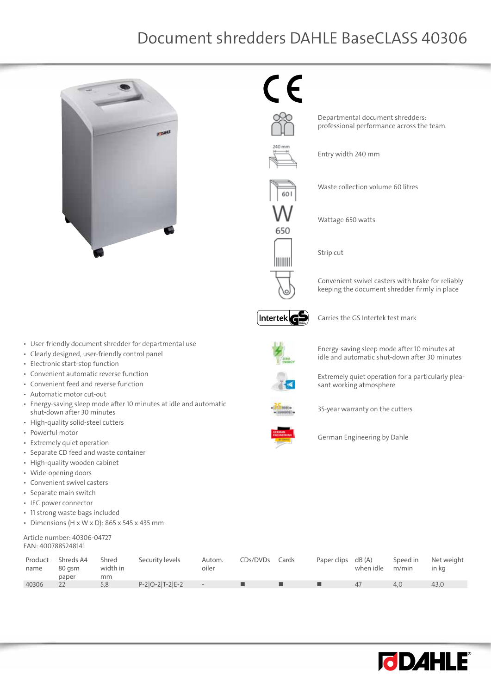## Document shredders DAHLE BaseCLASS 40306



 $\epsilon$ 



650

IIIIIII

Departmental document shredders: professional performance across the team.

Entry width 240 mm

Waste collection volume 60 litres

Wattage 650 watts

Strip cut

Convenient swivel casters with brake for reliably keeping the document shredder firmly in place



Carries the GS Intertek test mark



Energy-saving sleep mode after 10 minutes at idle and automatic shut-down after 30 minutes

Extremely quiet operation for a particularly pleasant working atmosphere

35-year warranty on the cutters



German Engineering by Dahle

| name  | Product Shreds A4<br>80 asm<br>paper | Shred<br>width in<br>mm | Security levels    | Autom.<br>oiler | CDs/DVDs Cards | Paper clips dB (A) | when idle m/min | Speed in | Net weight<br>in ka |
|-------|--------------------------------------|-------------------------|--------------------|-----------------|----------------|--------------------|-----------------|----------|---------------------|
| 40306 |                                      | 5.8                     | $P-2[O-2]T-2[E-2]$ | $\sim$          |                |                    | 47              | 4.0      | 43.0                |



• User-friendly document shredder for departmental use

- • Clearly designed, user-friendly control panel
- • Electronic start-stop function
- Convenient automatic reverse function
- Convenient feed and reverse function
- • Automatic motor cut-out
- • Energy-saving sleep mode after 10 minutes at idle and automatic shut-down after 30 minutes
- • High-quality solid-steel cutters
- • Powerful motor
- • Extremely quiet operation
- • Separate CD feed and waste container
- • High-quality wooden cabinet
- • Wide-opening doors
- • Convenient swivel casters
- • Separate main switch
- • IEC power connector
- • 11 strong waste bags included
- Dimensions (H x W x D): 865 x 545 x 435 mm

## Article number: 40306-04727 EAN: 4007885248141

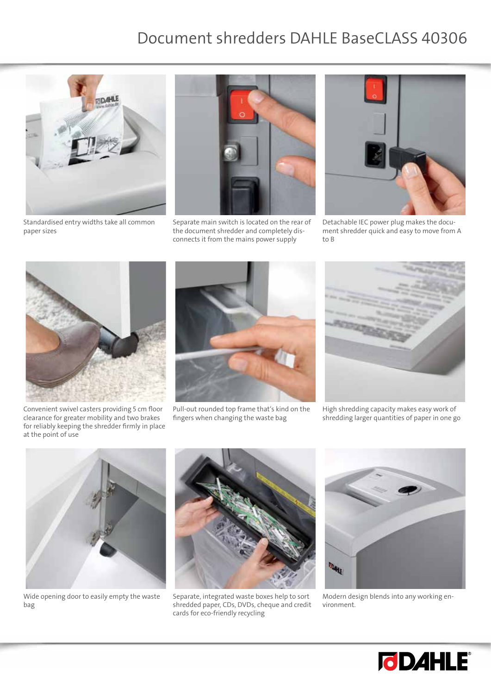## Document shredders DAHLE BaseCLASS 40306



Standardised entry widths take all common paper sizes



Separate main switch is located on the rear of the document shredder and completely disconnects it from the mains power supply



Detachable IEC power plug makes the document shredder quick and easy to move from A to B



Convenient swivel casters providing 5 cm floor clearance for greater mobility and two brakes for reliably keeping the shredder firmly in place at the point of use



Pull-out rounded top frame that's kind on the fingers when changing the waste bag



High shredding capacity makes easy work of shredding larger quantities of paper in one go



Wide opening door to easily empty the waste bag



Separate, integrated waste boxes help to sort shredded paper, CDs, DVDs, cheque and credit cards for eco-friendly recycling



Modern design blends into any working environment.